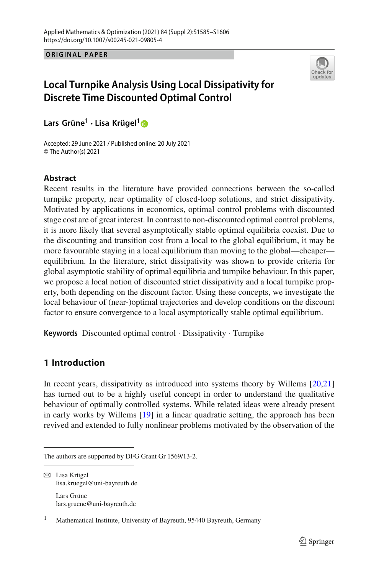**ORIGINAL PAPER ORIGINAL PAPER**



# **Local Turnpike Analysis Using Local Dissipativity for Discrete Time Discounted Optimal Control**

**Lars Grüne<sup>1</sup> · Lisa Krügel[1](http://orcid.org/0000-0002-2336-4099)**

Accepted: 29 June 2021 / Published online: 20 July 2021 © The Author(s) 2021

## **Abstract**

Recent results in the literature have provided connections between the so-called turnpike property, near optimality of closed-loop solutions, and strict dissipativity. Motivated by applications in economics, optimal control problems with discounted stage cost are of great interest. In contrast to non-discounted optimal control problems, it is more likely that several asymptotically stable optimal equilibria coexist. Due to the discounting and transition cost from a local to the global equilibrium, it may be more favourable staying in a local equilibrium than moving to the global—cheaper equilibrium. In the literature, strict dissipativity was shown to provide criteria for global asymptotic stability of optimal equilibria and turnpike behaviour. In this paper, we propose a local notion of discounted strict dissipativity and a local turnpike property, both depending on the discount factor. Using these concepts, we investigate the local behaviour of (near-)optimal trajectories and develop conditions on the discount factor to ensure convergence to a local asymptotically stable optimal equilibrium.

**Keywords** Discounted optimal control · Dissipativity · Turnpike

## **1 Introduction**

In recent years, dissipativity as introduced into systems theory by Willems [\[20](#page-21-0)[,21\]](#page-21-1) has turned out to be a highly useful concept in order to understand the qualitative behaviour of optimally controlled systems. While related ideas were already present in early works by Willems [\[19\]](#page-21-2) in a linear quadratic setting, the approach has been revived and extended to fully nonlinear problems motivated by the observation of the

The authors are supported by DFG Grant Gr 1569/13-2.

 $\boxtimes$  Lisa Krügel lisa.kruegel@uni-bayreuth.de Lars Grüne lars.gruene@uni-bayreuth.de

<sup>&</sup>lt;sup>1</sup> Mathematical Institute, University of Bayreuth, 95440 Bayreuth, Germany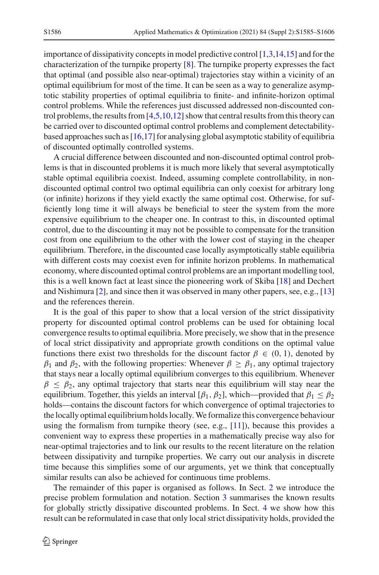importance of dissipativity concepts in model predictive control [\[1](#page-21-3)[,3](#page-21-4)[,14](#page-21-5)[,15\]](#page-21-6) and for the characterization of the turnpike property [\[8](#page-21-7)]. The turnpike property expresses the fact that optimal (and possible also near-optimal) trajectories stay within a vicinity of an optimal equilibrium for most of the time. It can be seen as a way to generalize asymptotic stability properties of optimal equilibria to finite- and infinite-horizon optimal control problems. While the references just discussed addressed non-discounted control problems, the results from [\[4](#page-21-8)[,5](#page-21-9)[,10](#page-21-10)[,12](#page-21-11)] show that central results from this theory can be carried over to discounted optimal control problems and complement detectabilitybased approaches such as  $[16,17]$  $[16,17]$  for analysing global asymptotic stability of equilibria of discounted optimally controlled systems.

A crucial difference between discounted and non-discounted optimal control problems is that in discounted problems it is much more likely that several asymptotically stable optimal equilibria coexist. Indeed, assuming complete controllability, in nondiscounted optimal control two optimal equilibria can only coexist for arbitrary long (or infinite) horizons if they yield exactly the same optimal cost. Otherwise, for sufficiently long time it will always be beneficial to steer the system from the more expensive equilibrium to the cheaper one. In contrast to this, in discounted optimal control, due to the discounting it may not be possible to compensate for the transition cost from one equilibrium to the other with the lower cost of staying in the cheaper equilibrium. Therefore, in the discounted case locally asymptotically stable equilibria with different costs may coexist even for infinite horizon problems. In mathematical economy, where discounted optimal control problems are an important modelling tool, this is a well known fact at least since the pioneering work of Skiba [\[18](#page-21-14)] and Dechert and Nishimura [\[2\]](#page-21-15), and since then it was observed in many other papers, see, e.g., [\[13\]](#page-21-16) and the references therein.

It is the goal of this paper to show that a local version of the strict dissipativity property for discounted optimal control problems can be used for obtaining local convergence results to optimal equilibria. More precisely, we show that in the presence of local strict dissipativity and appropriate growth conditions on the optimal value functions there exist two thresholds for the discount factor  $\beta \in (0, 1)$ , denoted by  $\beta_1$  and  $\beta_2$ , with the following properties: Whenever  $\beta \ge \beta_1$ , any optimal trajectory that stays near a locally optimal equilibrium converges to this equilibrium. Whenever  $\beta \leq \beta_2$ , any optimal trajectory that starts near this equilibrium will stay near the equilibrium. Together, this yields an interval [ $\beta_1$ ,  $\beta_2$ ], which—provided that  $\beta_1 \leq \beta_2$ holds—contains the discount factors for which convergence of optimal trajectories to the locally optimal equilibrium holds locally. We formalize this convergence behaviour using the formalism from turnpike theory (see, e.g.,  $[11]$  $[11]$ ), because this provides a convenient way to express these properties in a mathematically precise way also for near-optimal trajectories and to link our results to the recent literature on the relation between dissipativity and turnpike properties. We carry out our analysis in discrete time because this simplifies some of our arguments, yet we think that conceptually similar results can also be achieved for continuous time problems.

The remainder of this paper is organised as follows. In Sect. [2](#page-2-0) we introduce the precise problem formulation and notation. Section [3](#page-3-0) summarises the known results for globally strictly dissipative discounted problems. In Sect. [4](#page-9-0) we show how this result can be reformulated in case that only local strict dissipativity holds, provided the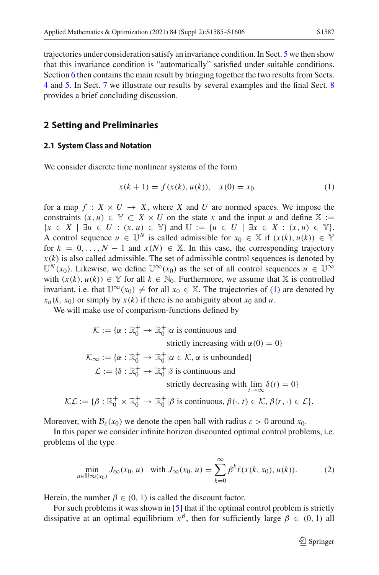trajectories under consideration satisfy an invariance condition. In Sect. [5](#page-10-0) we then show that this invariance condition is "automatically" satisfied under suitable conditions. Section [6](#page-13-0) then contains the main result by bringing together the two results from Sects. [4](#page-9-0) and [5.](#page-10-0) In Sect. [7](#page-16-0) we illustrate our results by several examples and the final Sect. [8](#page-20-0) provides a brief concluding discussion.

## <span id="page-2-0"></span>**2 Setting and Preliminaries**

#### **2.1 System Class and Notation**

We consider discrete time nonlinear systems of the form

<span id="page-2-1"></span>
$$
x(k + 1) = f(x(k), u(k)), \quad x(0) = x_0 \tag{1}
$$

for a map  $f: X \times U \rightarrow X$ , where *X* and *U* are normed spaces. We impose the constraints  $(x, u) \in \mathbb{Y} \subset X \times U$  on the state x and the input *u* and define  $\mathbb{X} :=$  ${x \in X \mid \exists u \in U : (x, u) \in \mathbb{Y}}$  and  $\mathbb{U} := \{u \in U \mid \exists x \in X : (x, u) \in \mathbb{Y}\}.$ A control sequence  $u \in \mathbb{U}^N$  is called admissible for  $x_0 \in \mathbb{X}$  if  $(x(k), u(k)) \in \mathbb{Y}$ for  $k = 0, \ldots, N - 1$  and  $x(N) \in \mathbb{X}$ . In this case, the corresponding trajectory  $x(k)$  is also called admissible. The set of admissible control sequences is denoted by  $\mathbb{U}^N(x_0)$ . Likewise, we define  $\mathbb{U}^{\infty}(x_0)$  as the set of all control sequences  $u \in \mathbb{U}^{\infty}$ with  $(x(k), u(k)) \in Y$  for all  $k \in N_0$ . Furthermore, we assume that X is controlled invariant, i.e. that  $\mathbb{U}^{\infty}(x_0) \neq$  for all  $x_0 \in \mathbb{X}$ . The trajectories of [\(1\)](#page-2-1) are denoted by  $x_u(k, x_0)$  or simply by  $x(k)$  if there is no ambiguity about  $x_0$  and  $u$ .

We will make use of comparison-functions defined by

$$
\mathcal{K} := \{ \alpha : \mathbb{R}_0^+ \to \mathbb{R}_0^+ | \alpha \text{ is continuous and}
$$
  
strictly increasing with  $\alpha(0) = 0 \}$   

$$
\mathcal{K}_{\infty} := \{ \alpha : \mathbb{R}_0^+ \to \mathbb{R}_0^+ | \alpha \in \mathcal{K}, \alpha \text{ is unbounded} \}
$$
  

$$
\mathcal{L} := \{ \delta : \mathbb{R}_0^+ \to \mathbb{R}_0^+ | \delta \text{ is continuous and}
$$
  
strictly decreasing with  $\lim_{t \to \infty} \delta(t) = 0 \}$   

$$
\mathcal{KL} := \{ \beta : \mathbb{R}_0^+ \times \mathbb{R}_0^+ \to \mathbb{R}_0^+ | \beta \text{ is continuous, } \beta(\cdot, t) \in \mathcal{K}, \beta(r, \cdot) \in \mathcal{L} \}.
$$

Moreover, with  $\mathcal{B}_{\varepsilon}(x_0)$  we denote the open ball with radius  $\varepsilon > 0$  around  $x_0$ .

In this paper we consider infinite horizon discounted optimal control problems, i.e. problems of the type

<span id="page-2-2"></span>
$$
\min_{u \in \mathbb{U}\infty(x_0)} J_\infty(x_0, u) \quad \text{with } J_\infty(x_0, u) = \sum_{k=0}^\infty \beta^k \ell(x(k, x_0), u(k)). \tag{2}
$$

Herein, the number  $\beta \in (0, 1)$  is called the discount factor.

For such problems it was shown in [\[5\]](#page-21-9) that if the optimal control problem is strictly dissipative at an optimal equilibrium  $x^{\beta}$ , then for sufficiently large  $\beta \in (0, 1)$  all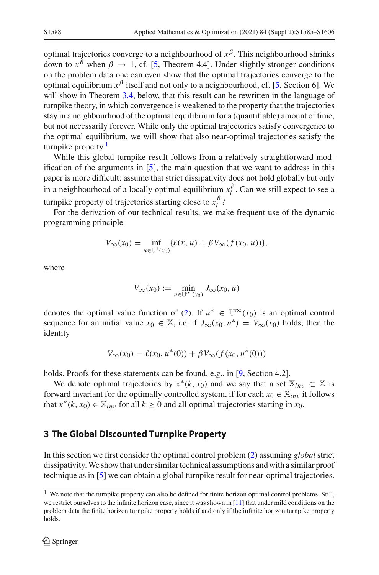optimal trajectories converge to a neighbourhood of  $x^{\beta}$ . This neighbourhood shrinks down to  $x^{\beta}$  when  $\beta \rightarrow 1$ , cf. [\[5](#page-21-9), Theorem 4.4]. Under slightly stronger conditions on the problem data one can even show that the optimal trajectories converge to the optimal equilibrium  $x^{\beta}$  itself and not only to a neighbourhood, cf. [\[5](#page-21-9), Section 6]. We will show in Theorem [3.4,](#page-5-0) below, that this result can be rewritten in the language of turnpike theory, in which convergence is weakened to the property that the trajectories stay in a neighbourhood of the optimal equilibrium for a (quantifiable) amount of time, but not necessarily forever. While only the optimal trajectories satisfy convergence to the optimal equilibrium, we will show that also near-optimal trajectories satisfy the turnpike property.<sup>[1](#page-3-1)</sup>

While this global turnpike result follows from a relatively straightforward modification of the arguments in [\[5\]](#page-21-9), the main question that we want to address in this paper is more difficult: assume that strict dissipativity does not hold globally but only in a neighbourhood of a locally optimal equilibrium  $x_l^{\beta}$ . Can we still expect to see a turnpike property of trajectories starting close to  $x_l^{\beta}$ ?

For the derivation of our technical results, we make frequent use of the dynamic programming principle

$$
V_{\infty}(x_0) = \inf_{u \in \mathbb{U}^1(x_0)} \{ \ell(x, u) + \beta V_{\infty}(f(x_0, u)) \},\,
$$

where

$$
V_{\infty}(x_0) := \min_{u \in \mathbb{U}^{\infty}(x_0)} J_{\infty}(x_0, u)
$$

denotes the optimal value function of [\(2\)](#page-2-2). If  $u^* \in \mathbb{U}^{\infty}(x_0)$  is an optimal control sequence for an initial value  $x_0 \in \mathbb{X}$ , i.e. if  $J_\infty(x_0, u^*) = V_\infty(x_0)$  holds, then the identity

$$
V_{\infty}(x_0) = \ell(x_0, u^*(0)) + \beta V_{\infty}(f(x_0, u^*(0)))
$$

holds. Proofs for these statements can be found, e.g., in [\[9,](#page-21-18) Section 4.2].

We denote optimal trajectories by  $x^*(k, x_0)$  and we say that a set  $\mathbb{X}_{inv} \subset \mathbb{X}$  is forward invariant for the optimally controlled system, if for each  $x_0 \in \mathbb{X}_{inv}$  it follows that  $x^*(k, x_0) \in \mathbb{X}_{inv}$  for all  $k \geq 0$  and all optimal trajectories starting in  $x_0$ .

#### <span id="page-3-0"></span>**3 The Global Discounted Turnpike Property**

In this section we first consider the optimal control problem [\(2\)](#page-2-2) assuming *global* strict dissipativity.We show that under similar technical assumptions and with a similar proof technique as in [\[5](#page-21-9)] we can obtain a global turnpike result for near-optimal trajectories.

<span id="page-3-1"></span><sup>&</sup>lt;sup>1</sup> We note that the turnpike property can also be defined for finite horizon optimal control problems. Still, we restrict ourselves to the infinite horizon case, since it was shown in [\[11\]](#page-21-17) that under mild conditions on the problem data the finite horizon turnpike property holds if and only if the infinite horizon turnpike property holds.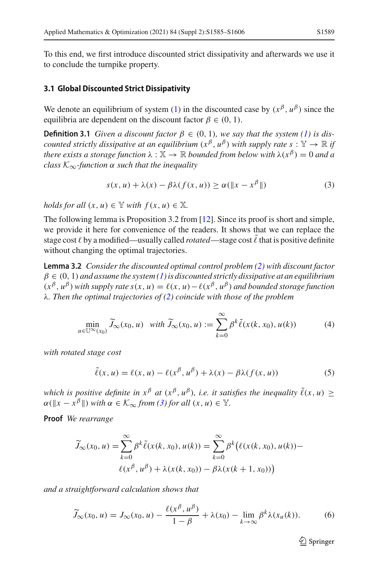To this end, we first introduce discounted strict dissipativity and afterwards we use it to conclude the turnpike property.

#### **3.1 Global Discounted Strict Dissipativity**

We denote an equilibrium of system [\(1\)](#page-2-1) in the discounted case by  $(x^{\beta}, u^{\beta})$  since the equilibria are dependent on the discount factor  $\beta \in (0, 1)$ .

**Definition 3.1** *Given a discount factor*  $\beta \in (0, 1)$ *, we say that the system* [\(1\)](#page-2-1) *is discounted strictly dissipative at an equilibrium*  $(x^{\beta}, u^{\beta})$  *with supply rate s* :  $\mathbb{Y} \to \mathbb{R}$  *if there exists a storage function*  $\lambda : \mathbb{X} \to \mathbb{R}$  *bounded from below with*  $\lambda(x^{\beta}) = 0$  *and a class K*∞*-function* α *such that the inequality*

<span id="page-4-1"></span><span id="page-4-0"></span>
$$
s(x, u) + \lambda(x) - \beta \lambda(f(x, u)) \ge \alpha(\|x - x^{\beta}\|)
$$
 (3)

*holds for all*  $(x, u) \in \mathbb{Y}$  *with*  $f(x, u) \in \mathbb{X}$ .

The following lemma is Proposition 3.2 from [\[12](#page-21-11)]. Since its proof is short and simple, we provide it here for convenience of the readers. It shows that we can replace the stage cost  $\ell$  by a modified—usually called *rotated—*stage cost  $\tilde{\ell}$  that is positive definite without changing the optimal trajectories.

<span id="page-4-2"></span>**Lemma 3.2** *Consider the discounted optimal control problem [\(2\)](#page-2-2) with discount factor*  $\beta \in (0, 1)$  and assume the system [\(1\)](#page-2-1) is discounted strictly dissipative at an equilibrium  $(x^{\beta}, u^{\beta})$  *with supply rate s*(*x*, *u*) =  $\ell(x, u) - \ell(x^{\beta}, u^{\beta})$  *and bounded storage function* λ*. Then the optimal trajectories of [\(2\)](#page-2-2) coincide with those of the problem*

<span id="page-4-3"></span>
$$
\min_{u \in \mathbb{U}^{\infty}(x_0)} \widetilde{J}_{\infty}(x_0, u) \quad \text{with } \widetilde{J}_{\infty}(x_0, u) := \sum_{k=0}^{\infty} \beta^k \widetilde{\ell}(x(k, x_0), u(k)) \tag{4}
$$

*with rotated stage cost*

$$
\tilde{\ell}(x, u) = \ell(x, u) - \ell(x^{\beta}, u^{\beta}) + \lambda(x) - \beta \lambda(f(x, u))
$$
\n(5)

*which is positive definite in*  $x^{\beta}$  *at*  $(x^{\beta}, u^{\beta})$ *, i.e. it satisfies the inequality*  $\tilde{\ell}(x, u) \ge$  $\alpha(\Vert x - x^{\beta} \Vert)$  *with*  $\alpha \in \mathcal{K}_{\infty}$  *from* [\(3\)](#page-4-0) *for all*  $(x, u) \in \mathbb{Y}$ .

**Proof** *We rearrange*

$$
\widetilde{J}_{\infty}(x_0, u) = \sum_{k=0}^{\infty} \beta^k \widetilde{\ell}(x(k, x_0), u(k)) = \sum_{k=0}^{\infty} \beta^k (\ell(x(k, x_0), u(k)) - \ell(x^{\beta}, u^{\beta}) + \lambda(x(k, x_0)) - \beta \lambda(x(k+1, x_0)))
$$

*and a straightforward calculation shows that*

$$
\widetilde{J}_{\infty}(x_0, u) = J_{\infty}(x_0, u) - \frac{\ell(x^{\beta}, u^{\beta})}{1 - \beta} + \lambda(x_0) - \lim_{k \to \infty} \beta^k \lambda(x_u(k)). \tag{6}
$$

 $\mathcal{D}$  Springer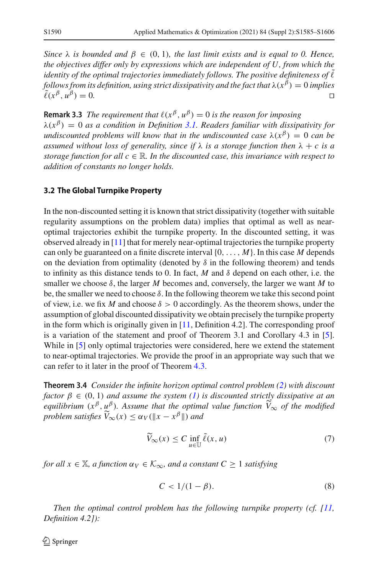*Since*  $\lambda$  *is bounded and*  $\beta \in (0, 1)$ *, the last limit exists and is equal to 0. Hence, the objectives differ only by expressions which are independent of U, from which the identity of the optimal trajectories immediately follows. The positive definiteness of*  $\ell$ *follows from its definition, using strict dissipativity and the fact that*  $\lambda(x^{\beta}) = 0$  *implies*  $\tilde{\ell}(x^{\beta}, \mu^{\beta}) = 0$ .  $\tilde{\ell}(x^{\beta}, u^{\beta}) = 0.$ 

**Remark 3.3** *The requirement that*  $\ell(x^{\beta}, u^{\beta}) = 0$  *is the reason for imposing*  $\lambda(x^{\beta}) = 0$  *as a condition in Definition [3.1.](#page-4-1) Readers familiar with dissipativity for undiscounted problems will know that in the undiscounted case*  $\lambda(x^{\beta}) = 0$  *can be assumed without loss of generality, since if*  $\lambda$  *is a storage function then*  $\lambda + c$  *is a storage function for all*  $c \in \mathbb{R}$ *. In the discounted case, this invariance with respect to addition of constants no longer holds.*

#### **3.2 The Global Turnpike Property**

In the non-discounted setting it is known that strict dissipativity (together with suitable regularity assumptions on the problem data) implies that optimal as well as nearoptimal trajectories exhibit the turnpike property. In the discounted setting, it was observed already in [\[11](#page-21-17)] that for merely near-optimal trajectories the turnpike property can only be guaranteed on a finite discrete interval {0,..., *M*}. In this case *M* depends on the deviation from optimality (denoted by  $\delta$  in the following theorem) and tends to infinity as this distance tends to 0. In fact,  $M$  and  $\delta$  depend on each other, i.e. the smaller we choose  $\delta$ , the larger *M* becomes and, conversely, the larger we want *M* to be, the smaller we need to choose  $\delta$ . In the following theorem we take this second point of view, i.e. we fix *M* and choose  $\delta > 0$  accordingly. As the theorem shows, under the assumption of global discounted dissipativity we obtain precisely the turnpike property in the form which is originally given in  $[11,$  $[11,$  Definition 4.2]. The corresponding proof is a variation of the statement and proof of Theorem 3.1 and Corollary 4.3 in [\[5](#page-21-9)]. While in [\[5](#page-21-9)] only optimal trajectories were considered, here we extend the statement to near-optimal trajectories. We provide the proof in an appropriate way such that we can refer to it later in the proof of Theorem [4.3.](#page-10-1)

<span id="page-5-0"></span>**Theorem 3.4** *Consider the infinite horizon optimal control problem [\(2\)](#page-2-2) with discount factor*  $\beta \in (0, 1)$  *and assume the system* [\(1\)](#page-2-1) *is discounted strictly dissipative at an equilibrium*  $(x^{\beta}, u^{\beta})$ *. Assume that the optimal value function*  $\widetilde{V}_{\infty}$  *of the modified problem satisfies*  $\widetilde{V}_{\infty}(x) \leq \alpha_V(\Vert x - x^{\beta} \Vert)$  *and* 

<span id="page-5-2"></span>
$$
\widetilde{V}_{\infty}(x) \le C \inf_{u \in \mathbb{U}} \widetilde{\ell}(x, u) \tag{7}
$$

*for all*  $x \in \mathbb{X}$ *, a function*  $\alpha_V \in \mathcal{K}_{\infty}$ *, and a constant*  $C \geq 1$  *satisfying* 

<span id="page-5-1"></span>
$$
C < 1/(1 - \beta). \tag{8}
$$

*Then the optimal control problem has the following turnpike property (cf. [\[11,](#page-21-17) Definition 4.2]):*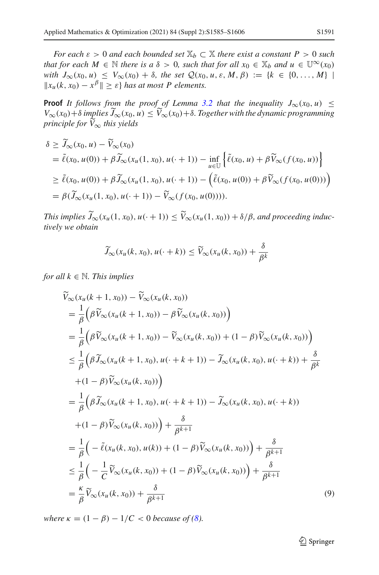*For each*  $\varepsilon > 0$  *and each bounded set*  $\mathbb{X}_b \subset \mathbb{X}$  *there exist a constant*  $P > 0$  *such that for each*  $M \in \mathbb{N}$  *there is a*  $\delta > 0$ *, such that for all*  $x_0 \in \mathbb{X}_b$  *and*  $u \in \mathbb{U}^\infty(x_0)$ *with*  $J_{\infty}(x_0, u) \leq V_{\infty}(x_0) + \delta$ , the set  $\mathcal{Q}(x_0, u, \varepsilon, M, \beta) := \{k \in \{0, ..., M\} \mid$  $||x_u(k, x_0) - x^{\beta}|| \geq \varepsilon$  *has at most P elements.* 

**Proof** *It follows from the proof of Lemma [3.2](#page-4-2) that the inequality*  $J_{\infty}(x_0, u) \leq$  $V_{\infty}(x_0) + \delta$  *implies*  $J_{\infty}(x_0, u) \leq V_{\infty}(x_0) + \delta$ . Together with the dynamic programming *principle for V* <sup>∞</sup> *this yields*

$$
\delta \ge \widetilde{J}_{\infty}(x_0, u) - \widetilde{V}_{\infty}(x_0)
$$
\n
$$
= \widetilde{\ell}(x_0, u(0)) + \beta \widetilde{J}_{\infty}(x_u(1, x_0), u(\cdot + 1)) - \inf_{u \in \mathbb{U}} \left\{ \widetilde{\ell}(x_0, u) + \beta \widetilde{V}_{\infty}(f(x_0, u)) \right\}
$$
\n
$$
\ge \widetilde{\ell}(x_0, u(0)) + \beta \widetilde{J}_{\infty}(x_u(1, x_0), u(\cdot + 1)) - \left( \widetilde{\ell}(x_0, u(0)) + \beta \widetilde{V}_{\infty}(f(x_0, u(0))) \right)
$$
\n
$$
= \beta(\widetilde{J}_{\infty}(x_u(1, x_0), u(\cdot + 1)) - \widetilde{V}_{\infty}(f(x_0, u(0)))).
$$

*This implies*  $J_{\infty}(x_u(1, x_0), u(\cdot + 1)) \leq V_{\infty}(x_u(1, x_0)) + \delta/\beta$ , and proceeding inductively via abstrain *tively we obtain*

$$
\widetilde{J}_{\infty}(x_u(k, x_0), u(\cdot + k)) \leq \widetilde{V}_{\infty}(x_u(k, x_0)) + \frac{\delta}{\beta^k}
$$

*for all*  $k \in \mathbb{N}$ *. This implies* 

<span id="page-6-0"></span>
$$
\widetilde{V}_{\infty}(x_{u}(k+1,x_{0})) - \widetilde{V}_{\infty}(x_{u}(k,x_{0}))
$$
\n
$$
= \frac{1}{\beta} \Big( \beta \widetilde{V}_{\infty}(x_{u}(k+1,x_{0})) - \beta \widetilde{V}_{\infty}(x_{u}(k,x_{0})) \Big)
$$
\n
$$
= \frac{1}{\beta} \Big( \beta \widetilde{V}_{\infty}(x_{u}(k+1,x_{0})) - \widetilde{V}_{\infty}(x_{u}(k,x_{0})) + (1-\beta) \widetilde{V}_{\infty}(x_{u}(k,x_{0})) \Big)
$$
\n
$$
\leq \frac{1}{\beta} \Big( \beta \widetilde{J}_{\infty}(x_{u}(k+1,x_{0}), u(\cdot + k+1)) - \widetilde{J}_{\infty}(x_{u}(k,x_{0}), u(\cdot + k)) + \frac{\delta}{\beta k}
$$
\n
$$
+ (1-\beta) \widetilde{V}_{\infty}(x_{u}(k,x_{0})) \Big)
$$
\n
$$
= \frac{1}{\beta} \Big( \beta \widetilde{J}_{\infty}(x_{u}(k+1,x_{0}), u(\cdot + k+1)) - \widetilde{J}_{\infty}(x_{u}(k,x_{0}), u(\cdot + k))
$$
\n
$$
+ (1-\beta) \widetilde{V}_{\infty}(x_{u}(k,x_{0})) \Big) + \frac{\delta}{\beta k+1}
$$
\n
$$
= \frac{1}{\beta} \Big( -\widetilde{L}(x_{u}(k,x_{0}), u(k)) + (1-\beta) \widetilde{V}_{\infty}(x_{u}(k,x_{0})) \Big) + \frac{\delta}{\beta k+1}
$$
\n
$$
\leq \frac{1}{\beta} \Big( -\frac{1}{C} \widetilde{V}_{\infty}(x_{u}(k,x_{0})) + (1-\beta) \widetilde{V}_{\infty}(x_{u}(k,x_{0})) \Big) + \frac{\delta}{\beta k+1}
$$
\n
$$
= \frac{\kappa}{\beta} \widetilde{V}_{\infty}(x_{u}(k,x_{0})) + \frac{\delta}{\beta k+1}
$$
\n(9)

*where*  $\kappa = (1 - \beta) - 1/C < 0$  *because of [\(8\)](#page-5-1).* 

<sup>2</sup> Springer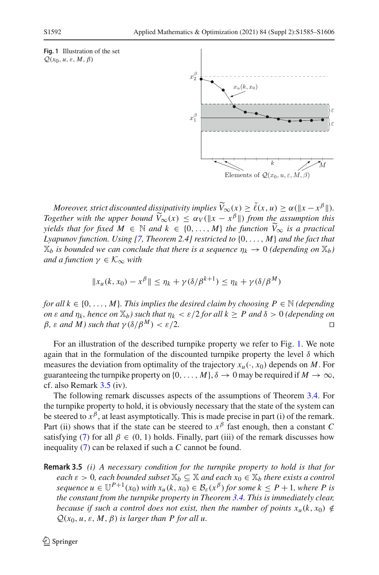<span id="page-7-0"></span>



*Moreover, strict discounted dissipativity implies*  $\tilde{V}_{\infty}(x) \ge \tilde{\ell}(x, u) \ge \alpha (\Vert x - x^{\beta} \Vert)$ . *Together with the upper bound*  $\widetilde{V}_{\infty}(x) \leq \alpha_V(\|x - x^{\beta}\|)$  *from the assumption this*<br>widds that for final  $M \in \mathbb{N}$  and  $k \in \{0, M\}$  the function  $\widetilde{V}_{\infty}$  is a prestigation *yields that for fixed*  $M \in \mathbb{N}$  *and*  $k \in \{0, ..., M\}$  *the function*  $\widetilde{V}_{\infty}$  *is a practical*<br>*Lyon was function Lising [7]* Theorem 2.41 matricted to  $(0, ..., M)$  and the feat that *Lyapunov function. Using [\[7,](#page-21-19) Theorem 2.4] restricted to* {0,..., *M*} *and the fact that*  $\mathbb{X}_b$  *is bounded we can conclude that there is a sequence*  $\eta_k \to 0$  *(depending on*  $\mathbb{X}_b$ ) *and a function*  $\gamma \in \mathcal{K}_{\infty}$  *with* 

$$
||x_u(k, x_0) - x^{\beta}|| \le \eta_k + \gamma(\delta/\beta^{k+1}) \le \eta_k + \gamma(\delta/\beta^M)
$$

*for all*  $k \in \{0, \ldots, M\}$ *. This implies the desired claim by choosing*  $P \in \mathbb{N}$  *(depending on*  $\varepsilon$  *and*  $\eta_k$ , *hence on*  $\mathbb{X}_b$ *) such that*  $\eta_k < \varepsilon/2$  *for all*  $k \geq P$  *and*  $\delta > 0$  *(depending on*  $B$ ,  $\varepsilon$  *and*  $M$ *) such that*  $\nu(\delta/\beta^M) < \varepsilon/2$ .  $β$ *, ε and M) such that*  $γ(δ/β<sup>M</sup>) < ε/2$ *.* 

For an illustration of the described turnpike property we refer to Fig. [1.](#page-7-0) We note again that in the formulation of the discounted turnpike property the level  $\delta$  which measures the deviation from optimality of the trajectory  $x_u(\cdot, x_0)$  depends on *M*. For guaranteeing the turnpike property on  $\{0, \ldots, M\}, \delta \to 0$  may be required if  $M \to \infty$ , cf. also Remark [3.5](#page-8-0) (iv).

The following remark discusses aspects of the assumptions of Theorem [3.4.](#page-5-0) For the turnpike property to hold, it is obviously necessary that the state of the system can be steered to  $x^{\beta}$ , at least asymptotically. This is made precise in part (i) of the remark. Part (ii) shows that if the state can be steered to  $x^{\beta}$  fast enough, then a constant *C* satisfying [\(7\)](#page-5-2) for all  $\beta \in (0, 1)$  holds. Finally, part (iii) of the remark discusses how inequality [\(7\)](#page-5-2) can be relaxed if such a *C* cannot be found.

<span id="page-7-1"></span>**Remark 3.5** *(i) A necessary condition for the turnpike property to hold is that for each*  $\varepsilon > 0$ *, each bounded subset*  $\mathbb{X}_b \subseteq \mathbb{X}$  *and each*  $x_0 \in \mathbb{X}_b$  *there exists a control sequence*  $u \in \mathbb{U}^{P+1}(x_0)$  *with*  $x_u(k, x_0) \in \mathcal{B}_{\varepsilon}(x^{\beta})$  *for some*  $k \leq P+1$ *, where P is the constant from the turnpike property in Theorem [3.4.](#page-5-0) This is immediately clear, because if such a control does not exist, then the number of points*  $x_u(k, x_0) \notin$  $Q(x_0, u, \varepsilon, M, \beta)$  *is larger than P for all u.*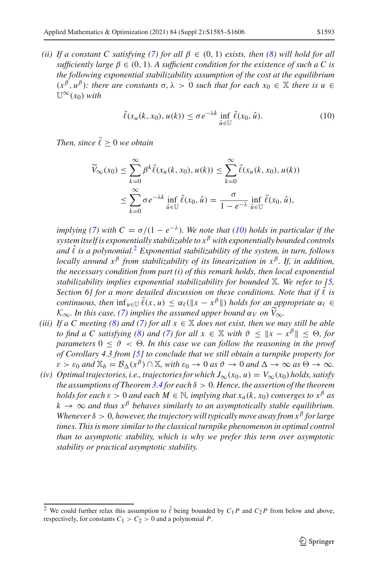*(ii)* If a constant C satisfying [\(7\)](#page-5-2) for all  $\beta \in (0, 1)$  exists, then [\(8\)](#page-5-1) will hold for all *sufficiently large*  $\beta \in (0, 1)$ *. A sufficient condition for the existence of such a C is the following exponential stabilizability assumption of the cost at the equilibrium*  $(x^{\beta}, u^{\beta})$ : there are constants  $\sigma, \lambda > 0$  such that for each  $x_0 \in \mathbb{X}$  there is  $u \in$  $\mathbb{U}^{\infty}(x_0)$  *with* 

<span id="page-8-0"></span>
$$
\tilde{\ell}(x_u(k, x_0), u(k)) \le \sigma e^{-\lambda k} \inf_{\hat{u} \in \mathbb{U}} \tilde{\ell}(x_0, \hat{u}). \tag{10}
$$

*Then, since*  $\tilde{\ell} > 0$  *we obtain* 

$$
\widetilde{V}_{\infty}(x_0) \leq \sum_{k=0}^{\infty} \beta^k \widetilde{\ell}(x_u(k, x_0), u(k)) \leq \sum_{k=0}^{\infty} \widetilde{\ell}(x_u(k, x_0), u(k))
$$
  

$$
\leq \sum_{k=0}^{\infty} \sigma e^{-\lambda k} \inf_{\hat{u} \in \mathbb{U}} \widetilde{\ell}(x_0, \hat{u}) = \frac{\sigma}{1 - e^{-\lambda}} \inf_{\hat{u} \in \mathbb{U}} \widetilde{\ell}(x_0, \hat{u}),
$$

*implying [\(7\)](#page-5-2)* with  $C = \sigma/(1 - e^{-\lambda})$ . We note that [\(10\)](#page-8-0) holds in particular if the *system itself is exponentially stabilizable to x*<sup>β</sup> *with exponentially bounded controls and* ˜ *is a polynomial.*[2](#page-8-1) *Exponential stabilizability of the system, in turn, follows locally around x*<sup>β</sup> *from stabilizability of its linearization in x*β*. If, in addition, the necessary condition from part (i) of this remark holds, then local exponential stabilizability implies exponential stabilizability for bounded* X*. We refer to [\[5,](#page-21-9) Section 6] for a more detailed discussion on these conditions. Note that if*  $\tilde{\ell}$  *is continuous, then*  $\inf_{u \in \mathbb{U}} \tilde{\ell}(x, u) \leq \alpha_{\ell}(\Vert x - x^{\beta} \Vert)$  *holds for an appropriate*  $\alpha_{\ell} \in$  $K_{\infty}$ . In this case, [\(7\)](#page-5-2) implies the assumed upper bound  $\alpha_V$  on  $V_{\infty}$ .<br>*If* a *C* masting (8) and (7) fan all *y*  $\in$  <sup>W</sup> daga not wist then was m

- *(iii)* If a C meeting [\(8\)](#page-5-1) and [\(7\)](#page-5-2) for all  $x \in \mathbb{X}$  does not exist, then we may still be able *to find a C satisfying [\(8\)](#page-5-1) and [\(7\)](#page-5-2) for all*  $x \in \mathbb{X}$  *with*  $\vartheta \leq ||x - x^{\beta}|| \leq \Theta$ *, for parameters*  $0 \le \vartheta \le \Theta$ . In this case we can follow the reasoning in the proof *of Corollary 4.3 from [\[5\]](#page-21-9) to conclude that we still obtain a turnpike property for*  $\varepsilon > \varepsilon_0$  and  $\mathbb{X}_b = \mathcal{B}_{\Lambda}(x^{\beta}) \cap \mathbb{X}$ , with  $\varepsilon_0 \to 0$  as  $\vartheta \to 0$  and  $\Delta \to \infty$  as  $\Theta \to \infty$ .
- *(iv) Optimal trajectories, i.e., trajectories for which J*∞(*x*0, *u*) = *V*∞(*x*0) *holds, satisfy the assumptions of Theorem [3.4](#page-5-0) for each* δ > 0*. Hence, the assertion of the theorem holds for each*  $\varepsilon > 0$  *and each*  $M \in \mathbb{N}$ *, implying that*  $x_u(k, x_0)$  *converges to*  $x^{\beta}$  *as*  $k \to \infty$  *and thus*  $x^{\beta}$  *behaves similarly to an asymptotically stable equilibrium. Whenever* δ > 0*, however, the trajectory will typically move away from x*<sup>β</sup> *for large times. This is more similar to the classical turnpike phenomenon in optimal control than to asymptotic stability, which is why we prefer this term over asymptotic stability or practical asymptotic stability.*

<span id="page-8-1"></span><sup>&</sup>lt;sup>2</sup> We could further relax this assumption to  $\tilde{\ell}$  being bounded by  $C_1P$  and  $C_2P$  from below and above, respectively, for constants  $C_1 > C_2 > 0$  and a polynomial *P*.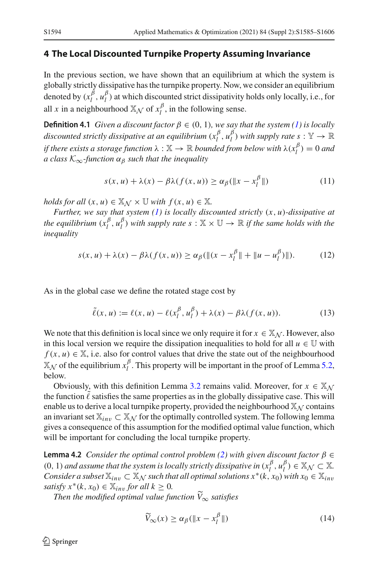#### <span id="page-9-0"></span>**4 The Local Discounted Turnpike Property Assuming Invariance**

In the previous section, we have shown that an equilibrium at which the system is globally strictly dissipative has the turnpike property. Now, we consider an equilibrium denoted by  $(x_l^{\beta}, u_l^{\beta})$  at which discounted strict dissipativity holds only locally, i.e., for all *x* in a neighbourhood  $\mathbb{X}_{\mathcal{N}}$  of  $x_l^{\beta}$ , in the following sense.

**Definition 4.1** *Given a discount factor*  $\beta \in (0, 1)$ *, we say that the system* [\(1\)](#page-2-1) *is locally discounted strictly dissipative at an equilibrium*  $(x_l^{\beta}, u_l^{\beta})$  *with supply rate*  $s : \mathbb{Y} \to \mathbb{R}$ *if there exists a storage function*  $\lambda : \mathbb{X} \to \mathbb{R}$  *bounded from below with*  $\lambda(x_l^{\beta}) = 0$  *and a class*  $K_{\infty}$ -function  $\alpha_{\beta}$  *such that the inequality* 

$$
s(x, u) + \lambda(x) - \beta \lambda(f(x, u)) \ge \alpha_{\beta}(\|x - x_t^{\beta}\|)
$$
 (11)

*holds for all*  $(x, u) \in X_N \times U$  *with*  $f(x, u) \in X$ .

*Further, we say that system [\(1\)](#page-2-1) is locally discounted strictly* (*x*, *u*)*-dissipative at the equilibrium*  $(x_l^{\beta}, u_l^{\beta})$  *with supply rate*  $s : \mathbb{X} \times \mathbb{U} \to \mathbb{R}$  *if the same holds with the inequality*

<span id="page-9-3"></span>
$$
s(x, u) + \lambda(x) - \beta \lambda(f(x, u)) \ge \alpha_{\beta}(\|(x - x_l^{\beta}\| + \|u - u_l^{\beta})\|). \tag{12}
$$

As in the global case we define the rotated stage cost by

<span id="page-9-4"></span>
$$
\tilde{\ell}(x, u) := \ell(x, u) - \ell(x_1^{\beta}, u_1^{\beta}) + \lambda(x) - \beta \lambda(f(x, u)). \tag{13}
$$

We note that this definition is local since we only require it for  $x \in X_N$ . However, also in this local version we require the dissipation inequalities to hold for all  $u \in U$  with  $f(x, u) \in \mathbb{X}$ , i.e. also for control values that drive the state out of the neighbourhood  $\mathbb{X}_{\mathcal{N}}$  of the equilibrium  $x_l^{\beta}$ . This property will be important in the proof of Lemma [5.2,](#page-11-0) below.

Obviously, with this definition Lemma [3.2](#page-4-2) remains valid. Moreover, for  $x \in \mathbb{X}_N$ the function  $\ell$  satisfies the same properties as in the globally dissipative case. This will enable us to derive a local turnpike property, provided the neighbourhood  $\mathbb{X}_{\mathcal{N}}$  contains an invariant set  $\mathbb{X}_{inv} \subset \mathbb{X}_{\mathcal{N}}$  for the optimally controlled system. The following lemma gives a consequence of this assumption for the modified optimal value function, which will be important for concluding the local turnpike property.

<span id="page-9-1"></span>**Lemma 4.2** *Consider the optimal control problem [\(2\)](#page-2-2) with given discount factor* β ∈  $(0, 1)$  *and assume that the system is locally strictly dissipative in*  $(x_l^{\beta}, u_l^{\beta}) \in X_{\mathcal{N}} \subset X$ *. Consider a subset*  $\mathbb{X}_{inv} \subset \mathbb{X}_{\mathcal{N}}$  *such that all optimal solutions*  $x^*(k, x_0)$  *with*  $x_0 \in \mathbb{X}_{inv}$ *satisfy*  $x^*(k, x_0) \in \mathbb{X}_{inv}$  *for all*  $k \geq 0$ *.* 

*Then the modified optimal value function V* <sup>∞</sup> *satisfies*

<span id="page-9-2"></span>
$$
\widetilde{V}_{\infty}(x) \ge \alpha_{\beta}(\|x - x_{l}^{\beta}\|)
$$
\n(14)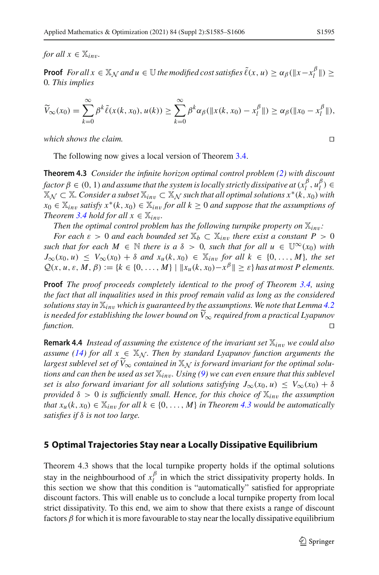*for all*  $x \in \mathbb{X}_{inv}$ *.* 

**Proof**  $For all x \in \mathbb{X}_\mathcal{N}$  and  $u \in \mathbb{U}$  the modified cost satisfies  $\tilde{\ell}(x, u) \ge \alpha_\beta(\|x - x_l^\beta\|) \ge$ 0*. This implies*

$$
\widetilde{V}_{\infty}(x_0) = \sum_{k=0}^{\infty} \beta^k \widetilde{\ell}(x(k, x_0), u(k)) \ge \sum_{k=0}^{\infty} \beta^k \alpha_{\beta}(\Vert x(k, x_0) - x_l^{\beta} \Vert) \ge \alpha_{\beta}(\Vert x_0 - x_l^{\beta} \Vert),
$$

*which shows the claim.* 

<span id="page-10-1"></span>The following now gives a local version of Theorem [3.4.](#page-5-0)

**Theorem 4.3** *Consider the infinite horizon optimal control problem [\(2\)](#page-2-2) with discount factor*  $\beta \in (0, 1)$  *and assume that the system is locally strictly dissipative at*  $(x_l^{\beta}, u_l^{\beta}) \in$  $\mathbb{X}_{\mathcal{N}}$  ⊂  $\mathbb{X}$ *. Consider a subset*  $\mathbb{X}_{inv}$  ⊂  $\mathbb{X}_{\mathcal{N}}$  *such that all optimal solutions*  $x^*(k, x_0)$  *with x*<sub>0</sub> ∈  $\mathbb{X}_{inv}$  *satisfy*  $x^*(k, x_0)$  ∈  $\mathbb{X}_{inv}$  *for all*  $k ≥ 0$  *and suppose that the assumptions of Theorem* [3.4](#page-5-0) *hold for all*  $x \in \mathbb{X}_{inv}$ .

*Then the optimal control problem has the following turnpike property on*  $\mathbb{X}_{inv}$ *:* 

*For each*  $\varepsilon > 0$  *and each bounded set*  $\mathbb{X}_b \subset \mathbb{X}_{inv}$  *there exist a constant*  $P > 0$ *such that for each*  $M \in \mathbb{N}$  *there is a*  $\delta > 0$ *, such that for all*  $u \in \mathbb{U}^{\infty}(x_0)$  *with*  $J_{\infty}(x_0, u) \leq V_{\infty}(x_0) + \delta$  *and*  $x_u(k, x_0) \in \mathbb{X}_{inv}$  *for all*  $k \in \{0, \ldots, M\}$ *, the set*  $Q(x, u, \varepsilon, M, \beta) := \{k \in \{0, ..., M\} \mid ||x_u(k, x_0) - x^{\beta}|| \geq \varepsilon\}$  has at most P elements.

**Proof** *The proof proceeds completely identical to the proof of Theorem [3.4,](#page-5-0) using the fact that all inqualities used in this proof remain valid as long as the considered solutions stay in*  $\mathbb{X}_{inv}$  *which is guaranteed by the assumptions. We note that Lemma* [4.2](#page-9-1) *is needed for establishing the lower bound on V* <sup>∞</sup> *required from a practical Lyapunov function.* 

**Remark 4.4** *Instead of assuming the existence of the invariant set*  $\mathbb{X}_{inv}$  *we could also assume [\(14\)](#page-9-2)* for all  $x \in X_N$ . Then by standard Lyapunov function arguments the *largest sublevel set of*  $\widetilde{V}_{\infty}$  *contained in*  $\mathbb{X}_{\mathcal{N}}$  *is forward invariant for the optimal solutions and can then be used as set*  $\mathbb{X}_{inv}$ *. Using [\(9\)](#page-6-0)* we can even ensure that this sublevel *set is also forward invariant for all solutions satisfying*  $J_{\infty}(x_0, u) \leq V_{\infty}(x_0) + \delta$ *provided*  $\delta > 0$  *is sufficiently small. Hence, for this choice of*  $\mathbb{X}_{inv}$  *the assumption that*  $x_u(k, x_0) \in \mathbb{X}_{inv}$  *for all*  $k \in \{0, \ldots, M\}$  *in Theorem [4.3](#page-10-1) would be automatically satisfies if* δ *is not too large.*

#### <span id="page-10-0"></span>**5 Optimal Trajectories Stay near a Locally Dissipative Equilibrium**

Theorem 4.3 shows that the local turnpike property holds if the optimal solutions stay in the neighbourhood of  $x_l^{\beta}$  in which the strict dissipativity property holds. In this section we show that this condition is "automatically" satisfied for appropriate discount factors. This will enable us to conclude a local turnpike property from local strict dissipativity. To this end, we aim to show that there exists a range of discount factors  $\beta$  for which it is more favourable to stay near the locally dissipative equilibrium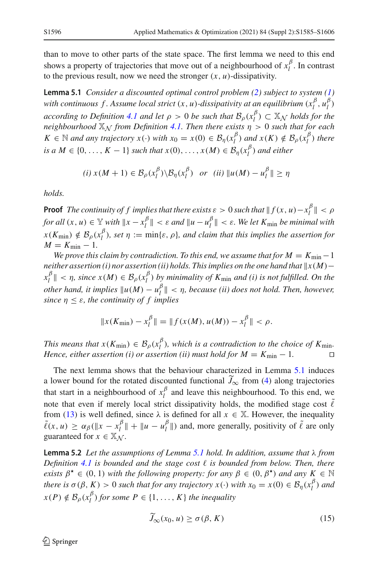than to move to other parts of the state space. The first lemma we need to this end shows a property of trajectories that move out of a neighbourhood of  $x_l^{\beta}$ . In contrast to the previous result, now we need the stronger  $(x, u)$ -dissipativity.

<span id="page-11-1"></span>**Lemma 5.1** *Consider a discounted optimal control problem [\(2\)](#page-2-2) subject to system [\(1\)](#page-2-1) with continuous f. Assume local strict*  $(x, u)$ -dissipativity at an equilibrium  $(x_l^{\beta}, u_l^{\beta})$ *according to Definition* [4.1](#page-9-3) *and let*  $\rho > 0$  *be such that*  $\mathcal{B}_{\rho}(x_l^{\beta}) \subset X_N$  *holds for the neighbourhood*  $\mathbb{X}_{N}$  *from Definition [4.1.](#page-9-3) Then there exists*  $\eta > 0$  *such that for each*  $K \in \mathbb{N}$  *and any trajectory*  $x(\cdot)$  *with*  $x_0 = x(0) \in \mathcal{B}_\eta(x_l^{\beta})$  *and*  $x(K) \notin \mathcal{B}_\rho(x_l^{\beta})$  *there is a*  $M \in \{0, ..., K - 1\}$  *such that*  $x(0), ..., x(M) \in B_{\eta}(x_l^{\beta})$  *and either* 

$$
(i) x(M+1) \in \mathcal{B}_{\rho}(x_l^{\beta}) \setminus \mathcal{B}_{\eta}(x_l^{\beta}) \quad or \quad (ii) \|u(M) - u_l^{\beta}\| \ge \eta
$$

*holds.*

**Proof** *The continuity of f implies that there exists*  $\varepsilon > 0$  *such that*  $|| f(x, u) - x_l^{\beta} || < \rho$ *for all*  $(x, u) \in \mathbb{Y}$  *with*  $\|x - x_t^{\beta}\| < \varepsilon$  *and*  $\|u - u_t^{\beta}\| < \varepsilon$ *. We let*  $K_{\min}$  *be minimal with*  $x(K_{\min}) \notin \mathcal{B}_{\rho}(x_l^{\beta})$ *, set*  $\eta := \min\{\varepsilon, \rho\}$ *, and claim that this implies the assertion for*  $M = K_{\min} - 1$ .

*We prove this claim by contradiction. To this end, we assume that for*  $M = K_{\min} - 1$ *neither assertion (i) nor assertion (ii) holds. This implies on the one hand that*  $\Vert x(M)$  $x_l^{\beta}$  || < *n*, since  $x(M) \in \mathcal{B}_\rho(x_l^{\beta})$  by minimality of  $K_{\min}$  and (i) is not fulfilled. On the *other hand, it implies*  $||u(M) - u_l^{\beta}|| < \eta$ , *because (ii) does not hold. Then, however, since* η ≤ ε*, the continuity of f implies*

$$
||x(K_{\min}) - x_l^{\beta}|| = ||f(x(M), u(M)) - x_l^{\beta}|| < \rho.
$$

*This means that*  $x(K_{\min}) \in \mathcal{B}_{\rho}(x_l^{\beta})$ , which is a contradiction to the choice of  $K_{\min}$ . *Hence, either assertion (i) or assertion (ii) must hold for*  $M = K_{\min} - 1$ *.* 

The next lemma shows that the behaviour characterized in Lemma [5.1](#page-11-1) induces a lower bound for the rotated discounted functional  $J_{\infty}$  from [\(4\)](#page-4-3) along trajectories that start in a neighbourhood of  $x_l^{\beta}$  and leave this neighbourhood. To this end, we note that even if merely local strict dissipativity holds, the modified stage cost  $\tilde{\ell}$ from [\(13\)](#page-9-4) is well defined, since  $\lambda$  is defined for all  $x \in \mathbb{X}$ . However, the inequality  $\tilde{\ell}(x, u) \ge \alpha_{\beta}(\Vert x - x_i^{\beta} \Vert + \Vert u - u_i^{\beta} \Vert)$  and, more generally, positivity of  $\tilde{\ell}$  are only guaranteed for  $x \in \mathbb{X}_N$ .

<span id="page-11-0"></span>**Lemma 5.2** *Let the assumptions of Lemma [5.1](#page-11-1) hold. In addition, assume that* λ *from Definition [4.1](#page-9-3) is bounded and the stage cost is bounded from below. Then, there exists*  $\beta^* \in (0, 1)$  *with the following property: for any*  $\beta \in (0, \beta^*)$  *and any*  $K \in \mathbb{N}$ *there is*  $\sigma(\beta, K) > 0$  *such that for any trajectory*  $x(\cdot)$  *with*  $x_0 = x(0) \in B_\eta(x_l^{\beta})$  *and*  $x(P) \notin \mathcal{B}_{\rho}(x_1^{\beta})$  *for some*  $P \in \{1, ..., K\}$  *the inequality* 

$$
\widetilde{J}_{\infty}(x_0, u) \ge \sigma(\beta, K) \tag{15}
$$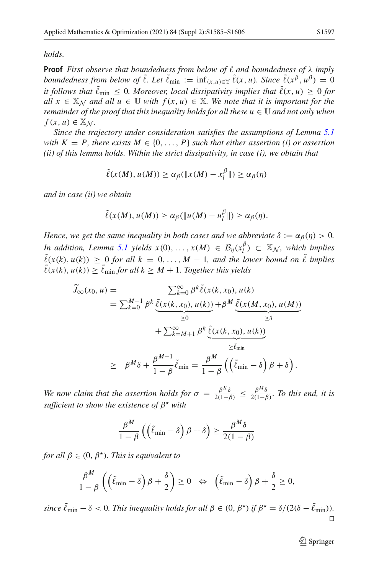*holds.*

**Proof** *First observe that boundedness from below of*  $\ell$  *and boundedness of*  $\lambda$  *imply boundedness from below of*  $\tilde{\ell}$ *. Let*  $\tilde{\ell}_{\min} := \inf_{(x,u)\in \mathbb{Y}} \tilde{\ell}(x,u)$ *. Since*  $\tilde{\ell}(x^{\beta}, u^{\beta}) = 0$ *it follows that*  $\ell_{\min} \leq 0$ . Moreover, local dissipativity implies that  $\ell(x, u) \geq 0$  for *all*  $x \in \mathbb{X}_N$  *and all*  $u \in \mathbb{U}$  *with*  $f(x, u) \in \mathbb{X}$ *. We note that it is important for the remainder of the proof that this inequality holds for all these*  $u \in U$  *and not only when*  $f(x, u) \in \mathbb{X}_N$ .

*Since the trajectory under consideration satisfies the assumptions of Lemma [5.1](#page-11-1) with*  $K = P$ , *there exists*  $M \in \{0, ..., P\}$  *such that either assertion (i) or assertion (ii) of this lemma holds. Within the strict dissipativity, in case (i), we obtain that*

$$
\tilde{\ell}(x(M), u(M)) \ge \alpha_{\beta}(\Vert x(M) - x_l^{\beta} \Vert) \ge \alpha_{\beta}(\eta)
$$

*and in case (ii) we obtain*

$$
\tilde{\ell}(x(M), u(M)) \geq \alpha_{\beta}(\|u(M) - u_l^{\beta}\|) \geq \alpha_{\beta}(\eta).
$$

*Hence, we get the same inequality in both cases and we abbreviate*  $\delta := \alpha_{\beta}(\eta) > 0$ *. In addition, Lemma [5.1](#page-11-1) yields*  $x(0), \ldots, x(M) \in \mathcal{B}_\eta(x_l^{\beta}) \subset \mathbb{X}_\mathcal{N}$ , which implies  $\tilde{\ell}(x(k), u(k)) \geq 0$  for all  $k = 0, \ldots, M-1$ , and the lower bound on  $\tilde{\ell}$  implies  $\ell(x(k), u(k)) \geq \ell_{\min}$  *for all*  $k \geq M + 1$ *. Together this yields* 

$$
\widetilde{J}_{\infty}(x_0, u) = \sum_{k=0}^{M-1} \beta^k \underbrace{\widetilde{\ell}(x(k, x_0), u(k))}_{\geq 0} + \beta^M \underbrace{\widetilde{\ell}(x(M, x_0), u(M))}_{\geq \delta}
$$
\n
$$
+ \sum_{k=M+1}^{\infty} \beta^k \underbrace{\widetilde{\ell}(x(k, x_0), u(k))}_{\geq \widetilde{\ell}_{\min}}
$$
\n
$$
\geq \beta^M \delta + \frac{\beta^{M+1}}{1 - \beta} \widetilde{\ell}_{\min} = \frac{\beta^M}{1 - \beta} \left( \left( \widetilde{\ell}_{\min} - \delta \right) \beta + \delta \right).
$$

*We now claim that the assertion holds for*  $\sigma = \frac{\beta^K \delta}{2(1-\beta)} \leq \frac{\beta^M \delta}{2(1-\beta)}$ *. To this end, it is sufficient to show the existence of*  $β^{\star}$  *with* 

$$
\frac{\beta^M}{1-\beta}\left(\left(\tilde{\ell}_{\min}-\delta\right)\beta+\delta\right) \ge \frac{\beta^M\delta}{2(1-\beta)}
$$

*for all*  $\beta \in (0, \beta^{\star})$ *. This is equivalent to* 

$$
\frac{\beta^M}{1-\beta}\left(\left(\tilde{\ell}_{\min}-\delta\right)\beta+\frac{\delta}{2}\right)\geq 0 \quad \Leftrightarrow \quad \left(\tilde{\ell}_{\min}-\delta\right)\beta+\frac{\delta}{2}\geq 0,
$$

 $\sin ce \ \tilde{\ell}_{\min} - \delta < 0$ . This inequality holds for all  $\beta \in (0, \beta^{\star})$  if  $\beta^{\star} = \delta/(2(\delta - \tilde{\ell}_{\min}))$ .  $\Box$ 

 $\bigcirc$  Springer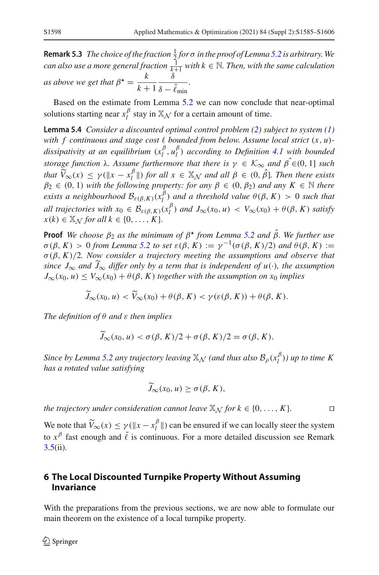**Remark 5.3** *The choice of the fraction*  $\frac{1}{2}$  *for* σ *in the proof of Lemma [5.2](#page-11-0) is arbitrary.* We *can also use a more general fraction*  $\frac{1}{k+1}$  *with*  $k \in \mathbb{N}$ *. Then, with the same calculation as above we get that*  $\beta^* = \frac{k}{k+1}$ δ  $\delta - \ell_{\min}$ *.*

Based on the estimate from Lemma [5.2](#page-11-0) we can now conclude that near-optimal solutions starting near  $x_l^{\beta}$  stay in  $\mathbb{X}_{\mathcal{N}}$  for a certain amount of time.

<span id="page-13-1"></span>**Lemma 5.4** *Consider a discounted optimal control problem [\(2\)](#page-2-2) subject to system [\(1\)](#page-2-1) with f continuous and stage cost bounded from below. Assume local strict* (*x*, *u*) *dissipativity at an equilibrium*  $(x_l^{\beta}, u_l^{\beta})$  *according to Definition* [4.1](#page-9-3) *with bounded storage function*  $\lambda$ *. Assume furthermore that there is*  $\gamma \in \mathcal{K}_{\infty}$  *and*  $\hat{\beta} \in (0, 1]$  *such that*  $\widetilde{V}_{\infty}(x) \leq \gamma (\Vert x - x_{\ell}^{\beta} \Vert)$  *for all*  $x \in \mathbb{X}_{\mathcal{N}}$  *and all*  $\beta \in (0, \hat{\beta})$ *. Then there exists*  $\beta_2 \in (0, 1)$  *with the following property: for any*  $\beta \in (0, \beta_2)$  *and any*  $K \in \mathbb{N}$  *there exists a neighbourhood*  $\mathcal{B}_{\varepsilon(\beta,K)}(x_i^{\beta})$  *and a threshold value*  $\theta(\beta,K) > 0$  *such that all trajectories with*  $x_0 \in B_{\varepsilon(\beta,K)}(x_l^{\beta})$  *and*  $J_{\infty}(x_0, u) < V_{\infty}(x_0) + \theta(\beta, K)$  *satisfy*  $x(k) \in \mathbb{X}_N$  *for all*  $k \in \{0, \ldots, K\}.$ 

**Proof** *We choose*  $\beta_2$  *as the minimum of*  $\beta^*$  *from Lemma* [5.2](#page-11-0) *and*  $\hat{\beta}$ *. We further use*  $\sigma(\beta, K) > 0$  from Lemma [5.2](#page-11-0) to set  $\varepsilon(\beta, K) := \gamma^{-1}(\sigma(\beta, K)/2)$  and  $\theta(\beta, K) :=$ σ (β, *K*)/2*. Now consider a trajectory meeting the assumptions and observe that since*  $J_{\infty}$  *and*  $J_{\infty}$  *differ only by a term that is independent of u*(·)*, the assumption*  $J_{\infty}(x_0, u) \leq V_{\infty}(x_0) + \theta(\beta, K)$  *together with the assumption on*  $x_0$  *implies* 

$$
\widetilde{J}_{\infty}(x_0, u) < \widetilde{V}_{\infty}(x_0) + \theta(\beta, K) < \gamma(\varepsilon(\beta, K)) + \theta(\beta, K).
$$

*The definition of* θ *and* ε *then implies*

$$
\tilde{J}_{\infty}(x_0, u) < \sigma(\beta, K)/2 + \sigma(\beta, K)/2 = \sigma(\beta, K).
$$

*Since by Lemma [5.2](#page-11-0) any trajectory leaving*  $\mathbb{X}_{\mathcal{N}}$  *(and thus also*  $\mathcal{B}_{\rho}(x_i^{\beta})$ *) up to time K has a rotated value satisfying*

$$
\widetilde{J}_{\infty}(x_0, u) \ge \sigma(\beta, K),
$$

*the trajectory under consideration cannot leave*  $\mathbb{X}_{\mathcal{N}}$  *for*  $k \in \{0, \ldots, K\}$ *.*  $\Box$ 

We note that  $\widetilde{V}_{\infty}(x) \leq \gamma (\Vert x - x_l^{\beta} \Vert)$  can be ensured if we can locally steer the system to  $x^{\beta}$  fast enough and  $\tilde{\ell}$  is continuous. For a more detailed discussion see Remark  $3.5(ii)$  $3.5(ii)$ .

## <span id="page-13-0"></span>**6 The Local Discounted Turnpike Property Without Assuming Invariance**

<span id="page-13-2"></span>With the preparations from the previous sections, we are now able to formulate our main theorem on the existence of a local turnpike property.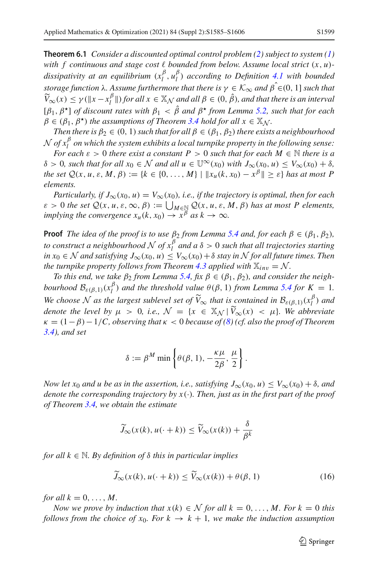**Theorem 6.1** *Consider a discounted optimal control problem [\(2\)](#page-2-2) subject to system [\(1\)](#page-2-1) with f continuous and stage cost bounded from below. Assume local strict* (*x*, *u*) *dissipativity at an equilibrium*  $(x_l^{\beta}, u_l^{\beta})$  *according to Definition* [4.1](#page-9-3) *with bounded storage function*  $\lambda$ *. Assume furthermore that there is*  $\gamma \in \mathcal{K}_{\infty}$  *and*  $\hat{\beta} \in (0, 1]$  *such that*  $\widetilde{V}_{\infty}(x) \leq \gamma(\Vert x - x_l^{\beta} \Vert)$  *for all*  $x \in \mathbb{X}_{\mathcal{N}}$  *and all*  $\beta \in (0, \hat{\beta})$ *, and that there is an interval* [β1, β] *of discount rates with* <sup>β</sup><sup>1</sup> <sup>&</sup>lt; <sup>β</sup><sup>ˆ</sup> *and* <sup>β</sup> *from Lemma [5.2,](#page-11-0) such that for each*  $\beta \in (\beta_1, \beta^*)$  *the assumptions of Theorem [3.4](#page-5-0) hold for all*  $x \in \mathbb{X}_N$ *.* 

*Then there is*  $\beta_2 \in (0, 1)$  *such that for all*  $\beta \in (\beta_1, \beta_2)$  *there exists a neighbourhood*  ${\cal N}$  *of*  $x_l^\beta$  *on which the system exhibits a local turnpike property in the following sense:* 

*For each*  $\varepsilon > 0$  *there exist a constant*  $P > 0$  *such that for each*  $M \in \mathbb{N}$  *there is a*  $\delta > 0$ *, such that for all*  $x_0 \in \mathcal{N}$  *and all*  $u \in \mathbb{U}^{\infty}(x_0)$  *with*  $J_{\infty}(x_0, u) \leq V_{\infty}(x_0) + \delta$ *, the set*  $Q(x, u, \varepsilon, M, \beta) := \{k \in \{0, \ldots, M\} \mid ||x_u(k, x_0) - x^{\beta}|| > \varepsilon\}$  *has at most P elements.*

*Particularly, if*  $J_{\infty}(x_0, u) = V_{\infty}(x_0)$ *, i.e., if the trajectory is optimal, then for each*  $\varepsilon > 0$  the set  $\mathcal{Q}(x, u, \varepsilon, \infty, \beta) := \bigcup_{M \in \mathbb{N} \atop \beta} \mathcal{Q}(x, u, \varepsilon, M, \beta)$  has at most P elements, *implying the convergence*  $x_u(k, x_0) \rightarrow x^{\beta}$  *as*  $k \rightarrow \infty$ *.* 

**Proof** *The idea of the proof is to use*  $\beta_2$  *from Lemma* [5.4](#page-13-1) *and, for each*  $\beta \in (\beta_1, \beta_2)$ *, to construct a neighbourhood*  $N$  *of*  $x_l^{\beta}$  *and a*  $\delta > 0$  *such that all trajectories starting in*  $x_0 \in \mathcal{N}$  *and satisfying*  $J_{\infty}(x_0, u) \leq V_{\infty}(x_0) + \delta$  *stay in*  $\mathcal{N}$  *for all future times. Then the turnpike property follows from Theorem [4.3](#page-10-1) applied with*  $\mathbb{X}_{inv} = \mathcal{N}$ *.* 

*To this end, we take*  $\beta_2$  *from Lemma [5.4,](#page-13-1) fix*  $\beta \in (\beta_1, \beta_2)$ *, and consider the neighbourhood*  $\mathcal{B}_{\varepsilon(\beta,1)}(x_i^{\beta})$  *and the threshold value*  $\theta(\beta, 1)$  *from Lemma [5.4](#page-13-1) for*  $K = 1$ *. We choose N as the largest sublevel set of*  $\widetilde{V}_{\infty}$  *that is contained in*  $\mathcal{B}_{\varepsilon(\beta,1)}(x_i^{\beta})$  *and denote the level by*  $\mu > 0$ *, i.e.,*  $\mathcal{N} = \{x \in \mathbb{X}_{\mathcal{N}} | \widetilde{V}_{\infty}(x) < \mu\}$ *. We abbreviate* κ = (1−β)−1/*C, observing that* κ < 0 *because of [\(8\)](#page-5-1) (cf. also the proof of Theorem [3.4\)](#page-5-0), and set*

$$
\delta := \beta^M \min \left\{ \theta(\beta, 1), -\frac{\kappa \mu}{2\beta}, \frac{\mu}{2} \right\}.
$$

*Now let x*<sub>0</sub> *and u be as in the assertion, i.e., satisfying*  $J_{\infty}(x_0, u) \leq V_{\infty}(x_0) + \delta$ *, and denote the corresponding trajectory by x*(·)*. Then, just as in the first part of the proof of Theorem [3.4,](#page-5-0) we obtain the estimate*

$$
\widetilde{J}_{\infty}(x(k), u(\cdot + k)) \le \widetilde{V}_{\infty}(x(k)) + \frac{\delta}{\beta^k}
$$

*for all k* <sup>∈</sup> <sup>N</sup>*. By definition of* <sup>δ</sup> *this in particular implies*

<span id="page-14-0"></span>
$$
\widetilde{J}_{\infty}(x(k), u(\cdot + k)) \le \widetilde{V}_{\infty}(x(k)) + \theta(\beta, 1)
$$
\n(16)

*for all*  $k = 0, \ldots, M$ .

*Now we prove by induction that*  $x(k) \in \mathcal{N}$  *for all*  $k = 0, \ldots, M$ . For  $k = 0$  *this follows from the choice of*  $x_0$ *. For*  $k \to k+1$ *, we make the induction assumption*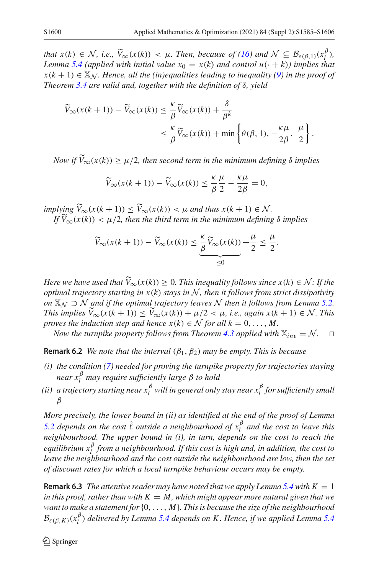*that*  $x(k) \in \mathcal{N}$ , *i.e.*,  $\widetilde{V}_{\infty}(x(k)) < \mu$ . Then, because of [\(16\)](#page-14-0) and  $\mathcal{N} \subseteq \mathcal{B}_{\varepsilon(\beta,1)}(x_l^{\beta})$ ,<br>*L* any  $\alpha > \beta$  (applied with initial value  $x_i = x(k)$  and control  $u(-|k|)$ ) implies that *Lemma* [5.4](#page-13-1) (applied with initial value  $x_0 = x(k)$  and control  $u(\cdot + k)$ ) implies that  $x(k + 1) \in \mathbb{X}_N$ *. Hence, all the (in)equalities leading to inequality [\(9\)](#page-6-0) in the proof of Theorem [3.4](#page-5-0) are valid and, together with the definition of* δ*, yield*

$$
\widetilde{V}_{\infty}(x(k+1)) - \widetilde{V}_{\infty}(x(k)) \leq \frac{\kappa}{\beta} \widetilde{V}_{\infty}(x(k)) + \frac{\delta}{\beta^{k}}
$$
\n
$$
\leq \frac{\kappa}{\beta} \widetilde{V}_{\infty}(x(k)) + \min \left\{ \theta(\beta, 1), -\frac{\kappa \mu}{2\beta}, \frac{\mu}{2} \right\}.
$$

*Now if*  $V_{\infty}(x(k)) \ge \mu/2$ , then second term in the minimum defining  $\delta$  implies

$$
\widetilde{V}_{\infty}(x(k+1)) - \widetilde{V}_{\infty}(x(k)) \le \frac{\kappa}{\beta} \frac{\mu}{2} - \frac{\kappa \mu}{2\beta} = 0,
$$

*implying*  $V_{\infty}(x(k+1)) \leq V_{\infty}(x(k)) < \mu$  and thus  $x(k+1) \in \mathcal{N}$ .<br> *If*  $\widetilde{V}_{\infty}(x(k)) \leq \mu/2$  then the third term in the minimum definition *If*  $V_{\infty}(x(k)) < \mu/2$ , then the third term in the minimum defining  $\delta$  implies

$$
\widetilde{V}_{\infty}(x(k+1)) - \widetilde{V}_{\infty}(x(k)) \leq \underbrace{\frac{\kappa}{\beta} \widetilde{V}_{\infty}(x(k))}_{\leq 0} + \frac{\mu}{2} \leq \frac{\mu}{2}.
$$

*Here we have used that*  $V_{\infty}(x(k)) \geq 0$ . This inequality follows since  $x(k) \in \mathcal{N}$ : If the original trainations in  $x(k)$ , stars in  $\mathcal{N}$ , then it follows from strict discipativity *optimal trajectory starting in x*(*k*) *stays in N , then it follows from strict dissipativity on*  $\mathbb{X}_N$  ⊃  $\mathcal{N}$  *and if the optimal trajectory leaves*  $\mathcal{N}$  *then it follows from Lemma* [5.2.](#page-11-0) *This implies*  $V_{\infty}(x(k+1)) \leq V_{\infty}(x(k)) + \mu/2 < \mu$ , *i.e., again*  $x(k+1) \in \mathcal{N}$ . This *proves the induction step and hence*  $x(k) \in \mathcal{N}$  *for all*  $k = 0, \ldots, M$ .

*Now the turnpike property follows from Theorem [4.3](#page-10-1) applied with*  $\mathbb{X}_{inv} = \mathcal{N}$ .  $\Box$ 

**Remark 6.2** *We note that the interval*  $(\beta_1, \beta_2)$  *may be empty. This is because* 

- *(i) the condition [\(7\)](#page-5-2) needed for proving the turnpike property for trajectories staying near x*<sup>β</sup> *<sup>l</sup> may require sufficiently large* β *to hold*
- (ii) a trajectory starting near  $x_l^\beta$  will in general only stay near  $x_l^\beta$  for sufficiently small β

*More precisely, the lower bound in (ii) as identified at the end of the proof of Lemma [5.2](#page-11-0) depends on the cost*  $\tilde{\ell}$  *outside a neighbourhood of*  $x_l^{\beta}$  *and the cost to leave this neighbourhood. The upper bound in (i), in turn, depends on the cost to reach the equilibrium x*<sup>β</sup> *<sup>l</sup> from a neighbourhood. If this cost is high and, in addition, the cost to leave the neighbourhood and the cost outside the neighbourhood are low, then the set of discount rates for which a local turnpike behaviour occurs may be empty.*

**Remark 6.3** *The attentive reader may have noted that we apply Lemma* [5.4](#page-13-1) *with*  $K = 1$ *in this proof, rather than with*  $K = M$ , which might appear more natural given that we *want to make a statement for*{0,..., *M*}*. This is because the size of the neighbourhood*  $\mathcal{B}_{\varepsilon(\beta,K)}(x_l^{\beta})$  *delivered by Lemma* [5.4](#page-13-1) *depends on K*. Hence, if we applied Lemma 5.4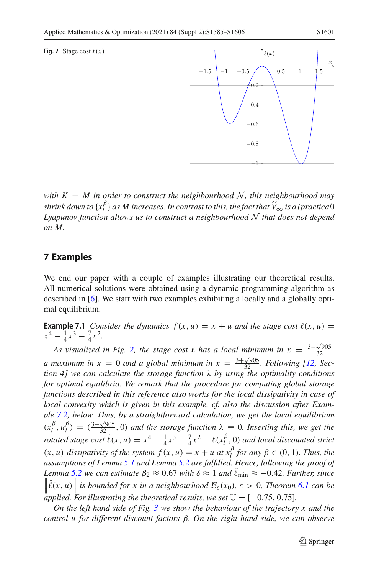#### <span id="page-16-1"></span>**Fig. 2** Stage cost  $\ell(x)$



*with*  $K = M$  *in order to construct the neighbourhood*  $N$ *, this neighbourhood may shrink down to*  $\{x_i^{\beta}\}$  *as M increases. In contrast to this, the fact that*  $\widetilde{V}_{\infty}$  *is a (practical)*<br>*Lyonia or function allows we to construct a neighbourhood* M that does not depend *Lyapunov function allows us to construct a neighbourhood N that does not depend on M.*

## <span id="page-16-0"></span>**7 Examples**

We end our paper with a couple of examples illustrating our theoretical results. All numerical solutions were obtained using a dynamic programming algorithm as described in [\[6\]](#page-21-20). We start with two examples exhibiting a locally and a globally optimal equilibrium.

<span id="page-16-2"></span>**Example 7.1** *Consider the dynamics*  $f(x, u) = x + u$  *and the stage cost*  $\ell(x, u) =$  $x^4 - \frac{1}{4}x^3 - \frac{7}{4}x^2$ .

*As visualized in Fig.* [2,](#page-16-1) the stage cost  $\ell$  has a local minimum in  $x = \frac{3-\sqrt{905}}{32}$ , *a* maximum in  $x = 0$  and a global minimum in  $x = \frac{3 + \sqrt{905}}{32}$ . Following [\[12](#page-21-11), Sec*tion 4] we can calculate the storage function* λ *by using the optimality conditions for optimal equilibria. We remark that the procedure for computing global storage functions described in this reference also works for the local dissipativity in case of local convexity which is given in this example, cf. also the discussion after Example [7.2,](#page-17-0) below. Thus, by a straightforward calculation, we get the local equilibrium*  $(x_l^{\beta}, u_l^{\beta}) = (\frac{3-\sqrt{905}}{32}, 0)$  *and the storage function*  $\lambda \equiv 0$ *. Inserting this, we get the rotated stage cost*  $\tilde{\ell}(x, u) = x^4 - \frac{1}{4}x^3 - \frac{7}{4}x^2 - \ell(x_l^{\beta}, 0)$  *and local discounted strict*  $(x, u)$ *-dissipativity of the system*  $f(x, u) = x + u$  at  $x_l^{\beta}$  *for any*  $\beta \in (0, 1)$ *. Thus, the assumptions of Lemma [5.1](#page-11-1) and Lemma [5.2](#page-11-0) are fulfilled. Hence, following the proof of Lemma* [5.2](#page-11-0) we can estimate  $β_2 ≈ 0.67$  with  $δ ≈ 1$  and  $ℓ_{\text{min}} ≈ -0.42$ . Further, since  $\left\| \tilde{\ell}(x, u) \right\|$  is bounded for x in a neighbourhood  $\mathcal{B}_{\varepsilon}(x_0)$ ,  $\varepsilon > 0$ , Theorem [6.1](#page-13-2) can be *applied.* For illustrating the theoretical results, we set  $\mathbb{U} = [-0.75, 0.75]$ .

*On the left hand side of Fig. [3](#page-17-1) we show the behaviour of the trajectory x and the control u for different discount factors* β*. On the right hand side, we can observe*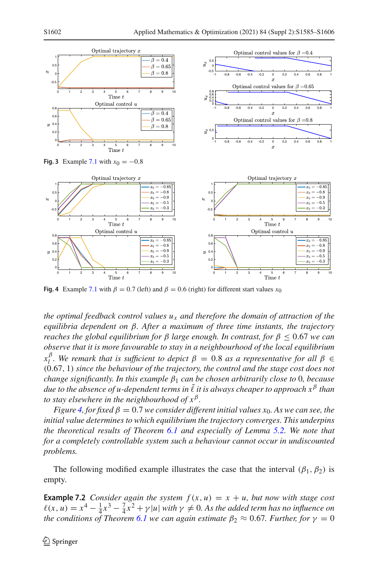<span id="page-17-1"></span>

<span id="page-17-2"></span>**Fig. 4** Example [7.1](#page-16-2) with  $\beta = 0.7$  (left) and  $\beta = 0.6$  (right) for different start values  $x_0$ 

*the optimal feedback control values ux and therefore the domain of attraction of the equilibria dependent on* β*. After a maximum of three time instants, the trajectory reaches the global equilibrium for*  $\beta$  *large enough. In contrast, for*  $\beta$  < 0.67 *we can observe that it is more favourable to stay in a neighbourhood of the local equilibrium*  $\alpha_l^{\beta}$ . We remark that is sufficient to depict  $\beta = 0.8$  as a representative for all  $\beta \in$ (0.67, 1) *since the behaviour of the trajectory, the control and the stage cost does not change significantly. In this example* β<sup>1</sup> *can be chosen arbitrarily close to* 0*, because due to the absence of u-dependent terms in* ˜ *it is always cheaper to approach x*<sup>β</sup> *than to stay elsewhere in the neighbourhood of*  $x^{\beta}$ *.* 

*Figure* [4,](#page-17-2) *for fixed*  $\beta = 0.7$  *we consider different initial values x*<sub>0</sub>. As we can see, the *initial value determines to which equilibrium the trajectory converges. This underpins the theoretical results of Theorem [6.1](#page-13-2) and especially of Lemma [5.2.](#page-11-0) We note that for a completely controllable system such a behaviour cannot occur in undiscounted problems.*

<span id="page-17-0"></span>The following modified example illustrates the case that the interval  $(\beta_1, \beta_2)$  is empty.

**Example 7.2** *Consider again the system*  $f(x, u) = x + u$ *, but now with stage cost*  $\ell(x, u) = x^4 - \frac{1}{4}x^3 - \frac{7}{4}x^2 + \gamma |u|$  *with*  $\gamma \neq 0$ . As the added term has no influence on *the conditions of Theorem* [6.1](#page-13-2) *we can again estimate*  $\beta_2 \approx 0.67$ *. Further, for*  $\gamma = 0$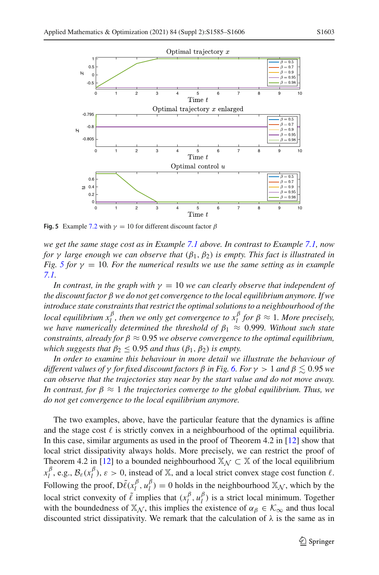

<span id="page-18-0"></span>**Fig. 5** Example [7.2](#page-17-0) with  $\gamma = 10$  for different discount factor  $\beta$ 

*we get the same stage cost as in Example [7.1](#page-16-2) above. In contrast to Example [7.1,](#page-16-2) now for*  $\gamma$  *large enough we can observe that*  $(\beta_1, \beta_2)$  *is empty. This fact is illustrated in Fig. [5](#page-18-0) for*  $\gamma = 10$ *. For the numerical results we use the same setting as in example [7.1.](#page-16-2)*

*In contrast, in the graph with*  $\gamma = 10$  *we can clearly observe that independent of the discount factor* β *we do not get convergence to the local equilibrium anymore. If we introduce state constraints that restrict the optimal solutions to a neighbourhood of the local equilibrium*  $x_l^{\beta}$ , then we only get convergence to  $x_l^{\beta}$  for  $\beta \approx 1$ . More precisely, *we have numerically determined the threshold of*  $\beta_1 \approx 0.999$ *. Without such state constraints, already for*  $\beta \approx 0.95$  *we observe convergence to the optimal equilibrium, which suggests that*  $\beta_2 \leq 0.95$  *and thus*  $(\beta_1, \beta_2)$  *is empty.* 

*In order to examine this behaviour in more detail we illustrate the behaviour of different values of* γ *for fixed discount factors* β *in Fig. [6.](#page-19-0) For* γ > 1 *and* β - 0.95 *we can observe that the trajectories stay near by the start value and do not move away. In contrast, for*  $\beta \approx 1$  *the trajectories converge to the global equilibrium. Thus, we do not get convergence to the local equilibrium anymore.*

The two examples, above, have the particular feature that the dynamics is affine and the stage cost  $\ell$  is strictly convex in a neighbourhood of the optimal equilibria. In this case, similar arguments as used in the proof of Theorem 4.2 in [\[12\]](#page-21-11) show that local strict dissipativity always holds. More precisely, we can restrict the proof of Theorem 4.2 in [\[12\]](#page-21-11) to a bounded neighbourhood  $\mathbb{X}_{\mathcal{N}} \subset \mathbb{X}$  of the local equilibrium  $x_l^{\beta}$ , e.g.,  $\mathcal{B}_{\varepsilon}(x_l^{\beta})$ ,  $\varepsilon > 0$ , instead of X, and a local strict convex stage cost function  $\ell$ . Following the proof,  $D\tilde{\ell}(x_l^{\beta}, u_l^{\beta}) = 0$  holds in the neighbourhood  $\mathbb{X}_{\mathcal{N}}$ , which by the local strict convexity of  $\tilde{\ell}$  implies that  $(x_l^{\beta}, u_l^{\beta})$  is a strict local minimum. Together with the boundedness of  $\mathbb{X}_{\mathcal{N}}$ , this implies the existence of  $\alpha_{\beta} \in \mathcal{K}_{\infty}$  and thus local discounted strict dissipativity. We remark that the calculation of  $\lambda$  is the same as in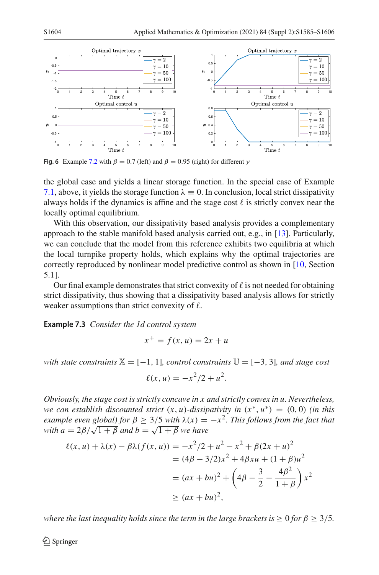

<span id="page-19-0"></span>**Fig. 6** Example [7.2](#page-17-0) with  $\beta = 0.7$  (left) and  $\beta = 0.95$  (right) for different  $\gamma$ 

the global case and yields a linear storage function. In the special case of Example [7.1,](#page-16-2) above, it yields the storage function  $\lambda = 0$ . In conclusion, local strict dissipativity always holds if the dynamics is affine and the stage cost  $\ell$  is strictly convex near the locally optimal equilibrium.

With this observation, our dissipativity based analysis provides a complementary approach to the stable manifold based analysis carried out, e.g., in [\[13](#page-21-16)]. Particularly, we can conclude that the model from this reference exhibits two equilibria at which the local turnpike property holds, which explains why the optimal trajectories are correctly reproduced by nonlinear model predictive control as shown in [\[10](#page-21-10), Section 5.1].

Our final example demonstrates that strict convexity of  $\ell$  is not needed for obtaining strict dissipativity, thus showing that a dissipativity based analysis allows for strictly weaker assumptions than strict convexity of  $\ell$ .

<span id="page-19-1"></span>**Example 7.3** *Consider the 1d control system*

$$
x^+ = f(x, u) = 2x + u
$$

*with state constraints*  $\mathbb{X} = [-1, 1]$ *, control constraints*  $\mathbb{U} = [-3, 3]$ *, and stage cost* 

$$
\ell(x, u) = -x^2/2 + u^2.
$$

*Obviously, the stage cost is strictly concave in x and strictly convex in u. Nevertheless, we can establish discounted strict*  $(x, u)$ *-dissipativity in*  $(x^*, u^*) = (0, 0)$  *(in this example even global) for*  $\beta > 3/5$  *with*  $\lambda(x) = -x^2$ . This follows from the fact that *with a* =  $2\beta/\sqrt{1+\beta}$  *and b* =  $\sqrt{1+\beta}$  *we have* 

$$
\ell(x, u) + \lambda(x) - \beta \lambda(f(x, u)) = -x^2/2 + u^2 - x^2 + \beta(2x + u)^2
$$
  
=  $(4\beta - 3/2)x^2 + 4\beta xu + (1 + \beta)u^2$   
=  $(ax + bu)^2 + \left(4\beta - \frac{3}{2} - \frac{4\beta^2}{1 + \beta}\right)x^2$   
 $\ge (ax + bu)^2,$ 

*where the last inequality holds since the term in the large brackets is*  $> 0$  *for*  $\beta > 3/5$ *.*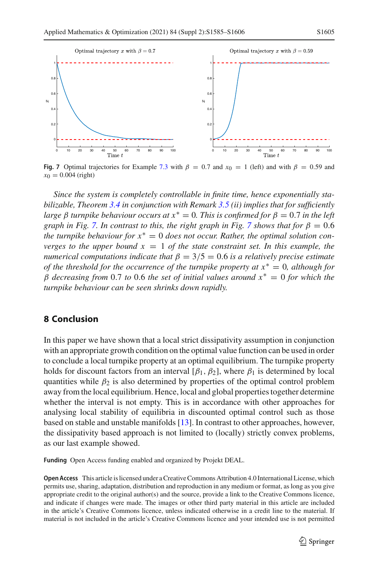

<span id="page-20-1"></span>**Fig. 7** Optimal trajectories for Example [7.3](#page-19-1) with  $\beta = 0.7$  and  $x_0 = 1$  (left) and with  $\beta = 0.59$  and  $x_0 = 0.004$  (right)

*Since the system is completely controllable in finite time, hence exponentially stabilizable, Theorem [3.4](#page-5-0) in conjunction with Remark [3.5](#page-8-0) (ii) implies that for sufficiently large* β *turnpike behaviour occurs at*  $x^* = 0$ *. This is confirmed for*  $β = 0.7$  *in the left graph in Fig.* [7.](#page-20-1) *In contrast to this, the right graph in Fig.* [7](#page-20-1) *shows that for*  $\beta = 0.6$ *the turnpike behaviour for x*<sup>∗</sup> = 0 *does not occur. Rather, the optimal solution converges to the upper bound*  $x = 1$  *of the state constraint set. In this example, the numerical computations indicate that*  $\beta = 3/5 = 0.6$  *is a relatively precise estimate of the threshold for the occurrence of the turnpike property at x*<sup>∗</sup> = 0*, although for* β *decreasing from* 0.7 *to* 0.6 *the set of initial values around x*<sup>∗</sup> = 0 *for which the turnpike behaviour can be seen shrinks down rapidly.*

#### <span id="page-20-0"></span>**8 Conclusion**

In this paper we have shown that a local strict dissipativity assumption in conjunction with an appropriate growth condition on the optimal value function can be used in order to conclude a local turnpike property at an optimal equilibrium. The turnpike property holds for discount factors from an interval  $[\beta_1, \beta_2]$ , where  $\beta_1$  is determined by local quantities while  $\beta_2$  is also determined by properties of the optimal control problem away from the local equilibrium. Hence, local and global properties together determine whether the interval is not empty. This is in accordance with other approaches for analysing local stability of equilibria in discounted optimal control such as those based on stable and unstable manifolds [\[13](#page-21-16)]. In contrast to other approaches, however, the dissipativity based approach is not limited to (locally) strictly convex problems, as our last example showed.

**Funding** Open Access funding enabled and organized by Projekt DEAL.

**Open Access** This article is licensed under a Creative Commons Attribution 4.0 International License, which permits use, sharing, adaptation, distribution and reproduction in any medium or format, as long as you give appropriate credit to the original author(s) and the source, provide a link to the Creative Commons licence, and indicate if changes were made. The images or other third party material in this article are included in the article's Creative Commons licence, unless indicated otherwise in a credit line to the material. If material is not included in the article's Creative Commons licence and your intended use is not permitted